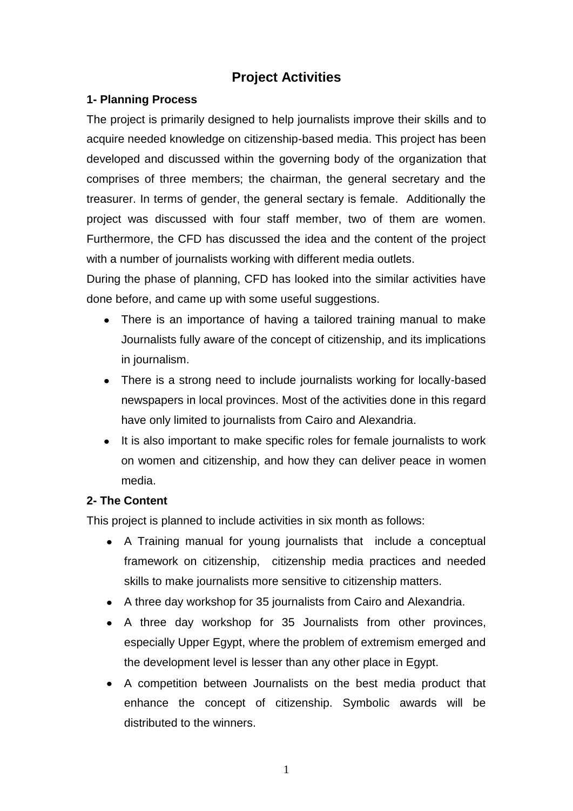# **Project Activities**

### **1- Planning Process**

The project is primarily designed to help journalists improve their skills and to acquire needed knowledge on citizenship-based media. This project has been developed and discussed within the governing body of the organization that comprises of three members; the chairman, the general secretary and the treasurer. In terms of gender, the general sectary is female. Additionally the project was discussed with four staff member, two of them are women. Furthermore, the CFD has discussed the idea and the content of the project with a number of journalists working with different media outlets.

During the phase of planning, CFD has looked into the similar activities have done before, and came up with some useful suggestions.

- There is an importance of having a tailored training manual to make Journalists fully aware of the concept of citizenship, and its implications in journalism.
- There is a strong need to include journalists working for locally-based newspapers in local provinces. Most of the activities done in this regard have only limited to journalists from Cairo and Alexandria.
- It is also important to make specific roles for female journalists to work  $\bullet$ on women and citizenship, and how they can deliver peace in women media.

#### **2- The Content**

This project is planned to include activities in six month as follows:

- A Training manual for young journalists that include a conceptual framework on citizenship, citizenship media practices and needed skills to make journalists more sensitive to citizenship matters.
- A three day workshop for 35 journalists from Cairo and Alexandria.
- A three day workshop for 35 Journalists from other provinces, especially Upper Egypt, where the problem of extremism emerged and the development level is lesser than any other place in Egypt.
- A competition between Journalists on the best media product that enhance the concept of citizenship. Symbolic awards will be distributed to the winners.

1